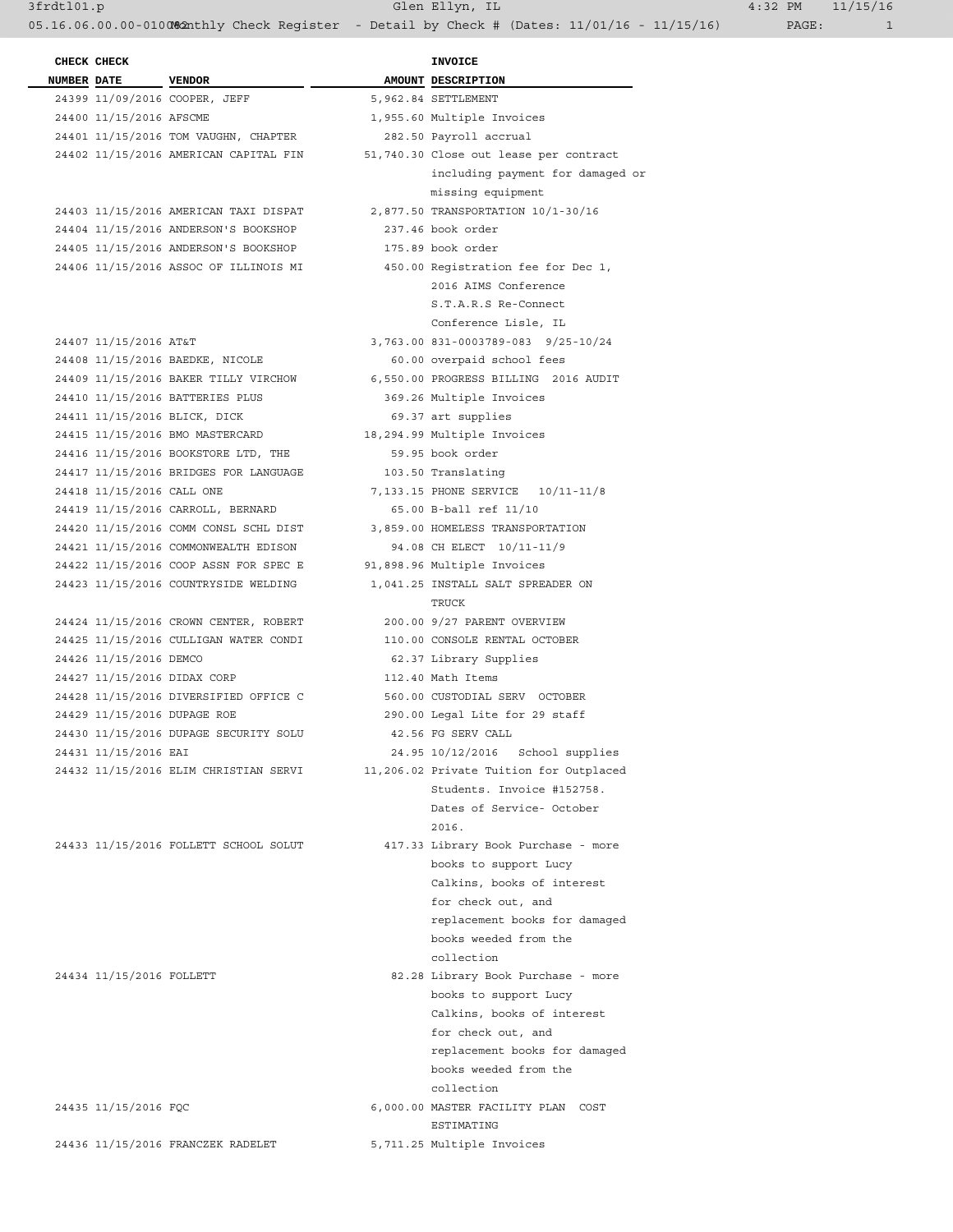05.16.06.00.00-010082nthly Check Register - Detail by Check # (Dates: 11/01/16 - 11/15/16) PAGE: 1

 **CHECK CHECK INVOICE NUMBER DATE** VENDOR **AMOUNT** DESCRIPTION 24399 11/09/2016 COOPER, JEFF 5,962.84 SETTLEMENT 24400 11/15/2016 AFSCME 1,955.60 Multiple Invoices 24401 11/15/2016 TOM VAUGHN, CHAPTER 282.50 Payroll accrual 24402 11/15/2016 AMERICAN CAPITAL FIN 51,740.30 Close out lease per contract including payment for damaged or missing equipment 24403 11/15/2016 AMERICAN TAXI DISPAT 2,877.50 TRANSPORTATION 10/1-30/16 24404 11/15/2016 ANDERSON'S BOOKSHOP 237.46 book order 24405 11/15/2016 ANDERSON'S BOOKSHOP 175.89 book order 24406 11/15/2016 ASSOC OF ILLINOIS MI 450.00 Registration fee for Dec 1, 2016 AIMS Conference S.T.A.R.S Re-Connect Conference Lisle, IL 24407 11/15/2016 AT&T 3,763.00 831-0003789-083 9/25-10/24 24408 11/15/2016 BAEDKE, NICOLE 60.00 overpaid school fees 24409 11/15/2016 BAKER TILLY VIRCHOW 6,550.00 PROGRESS BILLING 2016 AUDIT 24410 11/15/2016 BATTERIES PLUS 369.26 Multiple Invoices 24411 11/15/2016 BLICK, DICK 69.37 art supplies 24415 11/15/2016 BMO MASTERCARD 18,294.99 Multiple Invoices 24416 11/15/2016 BOOKSTORE LTD, THE 59.95 book order 24417 11/15/2016 BRIDGES FOR LANGUAGE 103.50 Translating 24418 11/15/2016 CALL ONE 7,133.15 PHONE SERVICE 10/11-11/8 24419 11/15/2016 CARROLL, BERNARD 65.00 B-ball ref 11/10 24420 11/15/2016 COMM CONSL SCHL DIST 3,859.00 HOMELESS TRANSPORTATION 24421 11/15/2016 COMMONWEALTH EDISON 94.08 CH ELECT 10/11-11/9 24422 11/15/2016 COOP ASSN FOR SPEC E 91,898.96 Multiple Invoices 24423 11/15/2016 COUNTRYSIDE WELDING 1,041.25 INSTALL SALT SPREADER ON  $T_{\rm R}$  and  $T_{\rm R}$  are  $T_{\rm R}$  and  $T_{\rm R}$  are  $T_{\rm R}$  and  $T_{\rm R}$  are  $T_{\rm R}$  and  $T_{\rm R}$  are  $T_{\rm R}$  and  $T_{\rm R}$  are  $T_{\rm R}$  and  $T_{\rm R}$  are  $T_{\rm R}$  and  $T_{\rm R}$  are  $T_{\rm R}$  and  $T_{\rm R}$  are  $T_{\rm R}$  and 24424 11/15/2016 CROWN CENTER, ROBERT 200.00 9/27 PARENT OVERVIEW 24425 11/15/2016 CULLIGAN WATER CONDI 110.00 CONSOLE RENTAL OCTOBER 24426 11/15/2016 DEMCO 62.37 Library Supplies 24427 11/15/2016 DIDAX CORP 112.40 Math Items 24428 11/15/2016 DIVERSIFIED OFFICE C 560.00 CUSTODIAL SERV OCTOBER 24429 11/15/2016 DUPAGE ROE 290.00 Legal Lite for 29 staff 24430 11/15/2016 DUPAGE SECURITY SOLU 42.56 FG SERV CALL 24431 11/15/2016 EAI 24.95 10/12/2016 School supplies 24432 11/15/2016 ELIM CHRISTIAN SERVI 11,206.02 Private Tuition for Outplaced Students. Invoice #152758. Dates of Service- October 2016. 24433 11/15/2016 FOLLETT SCHOOL SOLUT 417.33 Library Book Purchase - more books to support Lucy Calkins, books of interest for check out, and replacement books for damaged books weeded from the collection 24434 11/15/2016 FOLLETT 82.28 Library Book Purchase - more books to support Lucy Calkins, books of interest for check out, and replacement books for damaged books weeded from the collection 24435 11/15/2016 FQC 6,000.00 MASTER FACILITY PLAN COST ESTIMATING

24436 11/15/2016 FRANCZEK RADELET 5,711.25 Multiple Invoices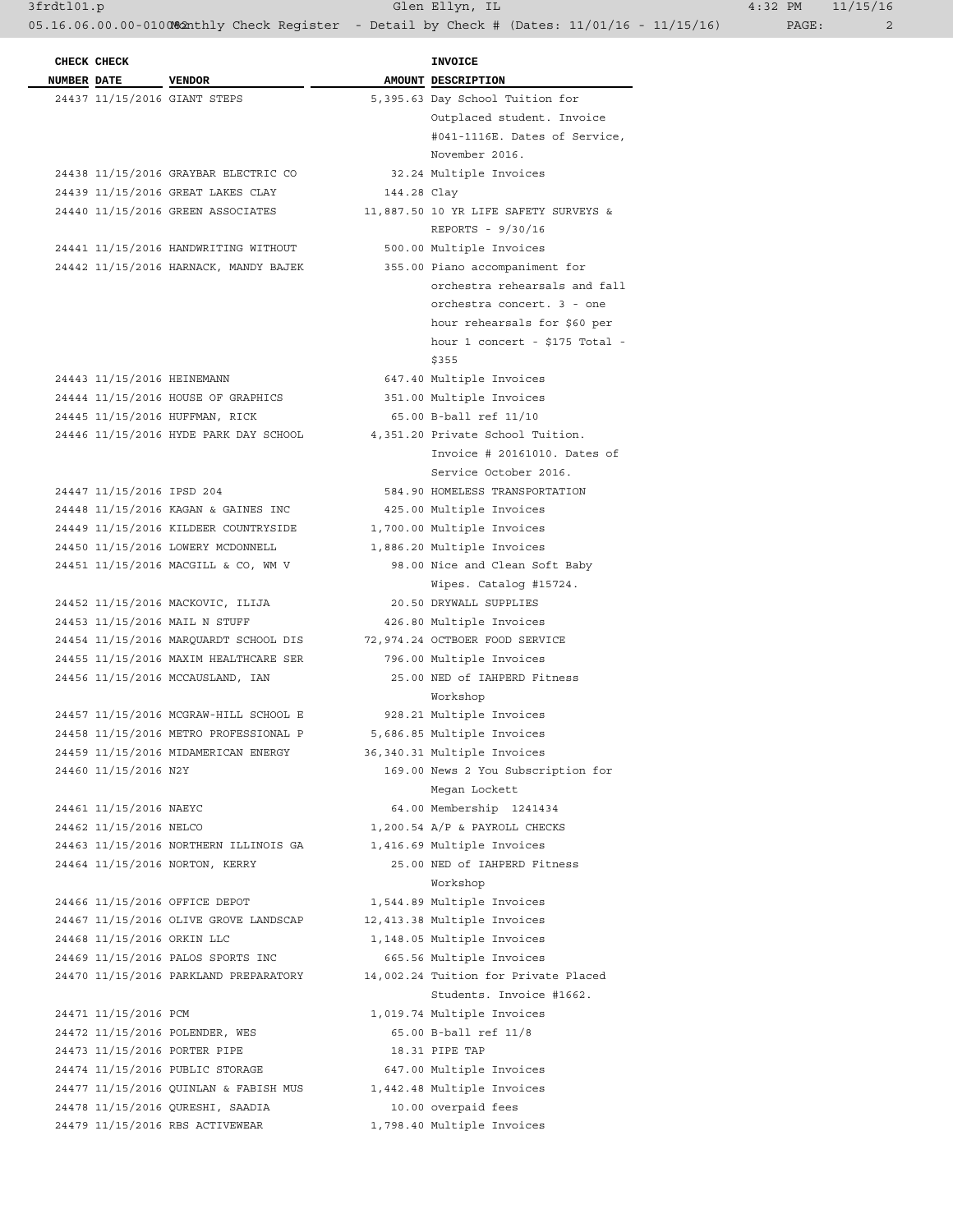3frdtl01.p Glen Ellyn, IL 4:32 PM 11/15/16

05.16.06.00.00-010082nthly Check Register - Detail by Check # (Dates: 11/01/16 - 11/15/16) PAGE: 2

| <b>NUMBER DATE</b><br>AMOUNT DESCRIPTION<br><b>VENDOR</b><br>24437 11/15/2016 GIANT STEPS<br>5,395.63 Day School Tuition for<br>Outplaced student. Invoice<br>#041-1116E. Dates of Service,<br>November 2016.<br>24438 11/15/2016 GRAYBAR ELECTRIC CO<br>32.24 Multiple Invoices<br>24439 11/15/2016 GREAT LAKES CLAY<br>144.28 Clay<br>24440 11/15/2016 GREEN ASSOCIATES<br>11,887.50 10 YR LIFE SAFETY SURVEYS &<br>REPORTS - 9/30/16<br>24441 11/15/2016 HANDWRITING WITHOUT<br>500.00 Multiple Invoices<br>24442 11/15/2016 HARNACK, MANDY BAJEK<br>355.00 Piano accompaniment for<br>orchestra rehearsals and fall<br>orchestra concert. 3 - one<br>hour rehearsals for \$60 per<br>hour 1 concert - \$175 Total -<br>\$355<br>24443 11/15/2016 HEINEMANN<br>647.40 Multiple Invoices<br>351.00 Multiple Invoices<br>24444 11/15/2016 HOUSE OF GRAPHICS<br>65.00 B-ball ref 11/10<br>24445 11/15/2016 HUFFMAN, RICK<br>24446 11/15/2016 HYDE PARK DAY SCHOOL 4,351.20 Private School Tuition.<br>Invoice # 20161010. Dates of<br>Service October 2016.<br>24447 11/15/2016 IPSD 204<br>584.90 HOMELESS TRANSPORTATION<br>24448 11/15/2016 KAGAN & GAINES INC<br>425.00 Multiple Invoices<br>24449 11/15/2016 KILDEER COUNTRYSIDE<br>1,700.00 Multiple Invoices<br>24450 11/15/2016 LOWERY MCDONNELL<br>1,886.20 Multiple Invoices<br>24451 11/15/2016 MACGILL & CO, WM V<br>98.00 Nice and Clean Soft Baby<br>Wipes. Catalog #15724.<br>24452 11/15/2016 MACKOVIC, ILIJA<br>20.50 DRYWALL SUPPLIES<br>24453 11/15/2016 MAIL N STUFF<br>426.80 Multiple Invoices<br>24454 11/15/2016 MARQUARDT SCHOOL DIS 72,974.24 OCTBOER FOOD SERVICE<br>24455 11/15/2016 MAXIM HEALTHCARE SER<br>796.00 Multiple Invoices<br>24456 11/15/2016 MCCAUSLAND, IAN<br>25.00 NED of IAHPERD Fitness<br>Workshop<br>24457 11/15/2016 MCGRAW-HILL SCHOOL E<br>928.21 Multiple Invoices<br>5,686.85 Multiple Invoices<br>24458 11/15/2016 METRO PROFESSIONAL P<br>24459 11/15/2016 MIDAMERICAN ENERGY<br>36,340.31 Multiple Invoices<br>24460 11/15/2016 N2Y<br>169.00 News 2 You Subscription for<br>Megan Lockett<br>24461 11/15/2016 NAEYC<br>64.00 Membership 1241434<br>24462 11/15/2016 NELCO<br>1,200.54 A/P & PAYROLL CHECKS<br>24463 11/15/2016 NORTHERN ILLINOIS GA<br>1,416.69 Multiple Invoices<br>24464 11/15/2016 NORTON, KERRY<br>25.00 NED of IAHPERD Fitness<br>Workshop<br>24466 11/15/2016 OFFICE DEPOT<br>1,544.89 Multiple Invoices<br>24467 11/15/2016 OLIVE GROVE LANDSCAP<br>12,413.38 Multiple Invoices<br>24468 11/15/2016 ORKIN LLC |
|-----------------------------------------------------------------------------------------------------------------------------------------------------------------------------------------------------------------------------------------------------------------------------------------------------------------------------------------------------------------------------------------------------------------------------------------------------------------------------------------------------------------------------------------------------------------------------------------------------------------------------------------------------------------------------------------------------------------------------------------------------------------------------------------------------------------------------------------------------------------------------------------------------------------------------------------------------------------------------------------------------------------------------------------------------------------------------------------------------------------------------------------------------------------------------------------------------------------------------------------------------------------------------------------------------------------------------------------------------------------------------------------------------------------------------------------------------------------------------------------------------------------------------------------------------------------------------------------------------------------------------------------------------------------------------------------------------------------------------------------------------------------------------------------------------------------------------------------------------------------------------------------------------------------------------------------------------------------------------------------------------------------------------------------------------------------------------------------------------------------------------------------------------------------------------------------------------------------------------------------------------------------------------------------------------------------------------------------------------------------------------------------------------------------------------------------------------------------------------------------------------------------------------------------------|
|                                                                                                                                                                                                                                                                                                                                                                                                                                                                                                                                                                                                                                                                                                                                                                                                                                                                                                                                                                                                                                                                                                                                                                                                                                                                                                                                                                                                                                                                                                                                                                                                                                                                                                                                                                                                                                                                                                                                                                                                                                                                                                                                                                                                                                                                                                                                                                                                                                                                                                                                               |
|                                                                                                                                                                                                                                                                                                                                                                                                                                                                                                                                                                                                                                                                                                                                                                                                                                                                                                                                                                                                                                                                                                                                                                                                                                                                                                                                                                                                                                                                                                                                                                                                                                                                                                                                                                                                                                                                                                                                                                                                                                                                                                                                                                                                                                                                                                                                                                                                                                                                                                                                               |
|                                                                                                                                                                                                                                                                                                                                                                                                                                                                                                                                                                                                                                                                                                                                                                                                                                                                                                                                                                                                                                                                                                                                                                                                                                                                                                                                                                                                                                                                                                                                                                                                                                                                                                                                                                                                                                                                                                                                                                                                                                                                                                                                                                                                                                                                                                                                                                                                                                                                                                                                               |
|                                                                                                                                                                                                                                                                                                                                                                                                                                                                                                                                                                                                                                                                                                                                                                                                                                                                                                                                                                                                                                                                                                                                                                                                                                                                                                                                                                                                                                                                                                                                                                                                                                                                                                                                                                                                                                                                                                                                                                                                                                                                                                                                                                                                                                                                                                                                                                                                                                                                                                                                               |
|                                                                                                                                                                                                                                                                                                                                                                                                                                                                                                                                                                                                                                                                                                                                                                                                                                                                                                                                                                                                                                                                                                                                                                                                                                                                                                                                                                                                                                                                                                                                                                                                                                                                                                                                                                                                                                                                                                                                                                                                                                                                                                                                                                                                                                                                                                                                                                                                                                                                                                                                               |
|                                                                                                                                                                                                                                                                                                                                                                                                                                                                                                                                                                                                                                                                                                                                                                                                                                                                                                                                                                                                                                                                                                                                                                                                                                                                                                                                                                                                                                                                                                                                                                                                                                                                                                                                                                                                                                                                                                                                                                                                                                                                                                                                                                                                                                                                                                                                                                                                                                                                                                                                               |
|                                                                                                                                                                                                                                                                                                                                                                                                                                                                                                                                                                                                                                                                                                                                                                                                                                                                                                                                                                                                                                                                                                                                                                                                                                                                                                                                                                                                                                                                                                                                                                                                                                                                                                                                                                                                                                                                                                                                                                                                                                                                                                                                                                                                                                                                                                                                                                                                                                                                                                                                               |
|                                                                                                                                                                                                                                                                                                                                                                                                                                                                                                                                                                                                                                                                                                                                                                                                                                                                                                                                                                                                                                                                                                                                                                                                                                                                                                                                                                                                                                                                                                                                                                                                                                                                                                                                                                                                                                                                                                                                                                                                                                                                                                                                                                                                                                                                                                                                                                                                                                                                                                                                               |
|                                                                                                                                                                                                                                                                                                                                                                                                                                                                                                                                                                                                                                                                                                                                                                                                                                                                                                                                                                                                                                                                                                                                                                                                                                                                                                                                                                                                                                                                                                                                                                                                                                                                                                                                                                                                                                                                                                                                                                                                                                                                                                                                                                                                                                                                                                                                                                                                                                                                                                                                               |
|                                                                                                                                                                                                                                                                                                                                                                                                                                                                                                                                                                                                                                                                                                                                                                                                                                                                                                                                                                                                                                                                                                                                                                                                                                                                                                                                                                                                                                                                                                                                                                                                                                                                                                                                                                                                                                                                                                                                                                                                                                                                                                                                                                                                                                                                                                                                                                                                                                                                                                                                               |
|                                                                                                                                                                                                                                                                                                                                                                                                                                                                                                                                                                                                                                                                                                                                                                                                                                                                                                                                                                                                                                                                                                                                                                                                                                                                                                                                                                                                                                                                                                                                                                                                                                                                                                                                                                                                                                                                                                                                                                                                                                                                                                                                                                                                                                                                                                                                                                                                                                                                                                                                               |
|                                                                                                                                                                                                                                                                                                                                                                                                                                                                                                                                                                                                                                                                                                                                                                                                                                                                                                                                                                                                                                                                                                                                                                                                                                                                                                                                                                                                                                                                                                                                                                                                                                                                                                                                                                                                                                                                                                                                                                                                                                                                                                                                                                                                                                                                                                                                                                                                                                                                                                                                               |
|                                                                                                                                                                                                                                                                                                                                                                                                                                                                                                                                                                                                                                                                                                                                                                                                                                                                                                                                                                                                                                                                                                                                                                                                                                                                                                                                                                                                                                                                                                                                                                                                                                                                                                                                                                                                                                                                                                                                                                                                                                                                                                                                                                                                                                                                                                                                                                                                                                                                                                                                               |
|                                                                                                                                                                                                                                                                                                                                                                                                                                                                                                                                                                                                                                                                                                                                                                                                                                                                                                                                                                                                                                                                                                                                                                                                                                                                                                                                                                                                                                                                                                                                                                                                                                                                                                                                                                                                                                                                                                                                                                                                                                                                                                                                                                                                                                                                                                                                                                                                                                                                                                                                               |
|                                                                                                                                                                                                                                                                                                                                                                                                                                                                                                                                                                                                                                                                                                                                                                                                                                                                                                                                                                                                                                                                                                                                                                                                                                                                                                                                                                                                                                                                                                                                                                                                                                                                                                                                                                                                                                                                                                                                                                                                                                                                                                                                                                                                                                                                                                                                                                                                                                                                                                                                               |
|                                                                                                                                                                                                                                                                                                                                                                                                                                                                                                                                                                                                                                                                                                                                                                                                                                                                                                                                                                                                                                                                                                                                                                                                                                                                                                                                                                                                                                                                                                                                                                                                                                                                                                                                                                                                                                                                                                                                                                                                                                                                                                                                                                                                                                                                                                                                                                                                                                                                                                                                               |
|                                                                                                                                                                                                                                                                                                                                                                                                                                                                                                                                                                                                                                                                                                                                                                                                                                                                                                                                                                                                                                                                                                                                                                                                                                                                                                                                                                                                                                                                                                                                                                                                                                                                                                                                                                                                                                                                                                                                                                                                                                                                                                                                                                                                                                                                                                                                                                                                                                                                                                                                               |
|                                                                                                                                                                                                                                                                                                                                                                                                                                                                                                                                                                                                                                                                                                                                                                                                                                                                                                                                                                                                                                                                                                                                                                                                                                                                                                                                                                                                                                                                                                                                                                                                                                                                                                                                                                                                                                                                                                                                                                                                                                                                                                                                                                                                                                                                                                                                                                                                                                                                                                                                               |
|                                                                                                                                                                                                                                                                                                                                                                                                                                                                                                                                                                                                                                                                                                                                                                                                                                                                                                                                                                                                                                                                                                                                                                                                                                                                                                                                                                                                                                                                                                                                                                                                                                                                                                                                                                                                                                                                                                                                                                                                                                                                                                                                                                                                                                                                                                                                                                                                                                                                                                                                               |
|                                                                                                                                                                                                                                                                                                                                                                                                                                                                                                                                                                                                                                                                                                                                                                                                                                                                                                                                                                                                                                                                                                                                                                                                                                                                                                                                                                                                                                                                                                                                                                                                                                                                                                                                                                                                                                                                                                                                                                                                                                                                                                                                                                                                                                                                                                                                                                                                                                                                                                                                               |
|                                                                                                                                                                                                                                                                                                                                                                                                                                                                                                                                                                                                                                                                                                                                                                                                                                                                                                                                                                                                                                                                                                                                                                                                                                                                                                                                                                                                                                                                                                                                                                                                                                                                                                                                                                                                                                                                                                                                                                                                                                                                                                                                                                                                                                                                                                                                                                                                                                                                                                                                               |
|                                                                                                                                                                                                                                                                                                                                                                                                                                                                                                                                                                                                                                                                                                                                                                                                                                                                                                                                                                                                                                                                                                                                                                                                                                                                                                                                                                                                                                                                                                                                                                                                                                                                                                                                                                                                                                                                                                                                                                                                                                                                                                                                                                                                                                                                                                                                                                                                                                                                                                                                               |
|                                                                                                                                                                                                                                                                                                                                                                                                                                                                                                                                                                                                                                                                                                                                                                                                                                                                                                                                                                                                                                                                                                                                                                                                                                                                                                                                                                                                                                                                                                                                                                                                                                                                                                                                                                                                                                                                                                                                                                                                                                                                                                                                                                                                                                                                                                                                                                                                                                                                                                                                               |
|                                                                                                                                                                                                                                                                                                                                                                                                                                                                                                                                                                                                                                                                                                                                                                                                                                                                                                                                                                                                                                                                                                                                                                                                                                                                                                                                                                                                                                                                                                                                                                                                                                                                                                                                                                                                                                                                                                                                                                                                                                                                                                                                                                                                                                                                                                                                                                                                                                                                                                                                               |
|                                                                                                                                                                                                                                                                                                                                                                                                                                                                                                                                                                                                                                                                                                                                                                                                                                                                                                                                                                                                                                                                                                                                                                                                                                                                                                                                                                                                                                                                                                                                                                                                                                                                                                                                                                                                                                                                                                                                                                                                                                                                                                                                                                                                                                                                                                                                                                                                                                                                                                                                               |
|                                                                                                                                                                                                                                                                                                                                                                                                                                                                                                                                                                                                                                                                                                                                                                                                                                                                                                                                                                                                                                                                                                                                                                                                                                                                                                                                                                                                                                                                                                                                                                                                                                                                                                                                                                                                                                                                                                                                                                                                                                                                                                                                                                                                                                                                                                                                                                                                                                                                                                                                               |
|                                                                                                                                                                                                                                                                                                                                                                                                                                                                                                                                                                                                                                                                                                                                                                                                                                                                                                                                                                                                                                                                                                                                                                                                                                                                                                                                                                                                                                                                                                                                                                                                                                                                                                                                                                                                                                                                                                                                                                                                                                                                                                                                                                                                                                                                                                                                                                                                                                                                                                                                               |
|                                                                                                                                                                                                                                                                                                                                                                                                                                                                                                                                                                                                                                                                                                                                                                                                                                                                                                                                                                                                                                                                                                                                                                                                                                                                                                                                                                                                                                                                                                                                                                                                                                                                                                                                                                                                                                                                                                                                                                                                                                                                                                                                                                                                                                                                                                                                                                                                                                                                                                                                               |
|                                                                                                                                                                                                                                                                                                                                                                                                                                                                                                                                                                                                                                                                                                                                                                                                                                                                                                                                                                                                                                                                                                                                                                                                                                                                                                                                                                                                                                                                                                                                                                                                                                                                                                                                                                                                                                                                                                                                                                                                                                                                                                                                                                                                                                                                                                                                                                                                                                                                                                                                               |
|                                                                                                                                                                                                                                                                                                                                                                                                                                                                                                                                                                                                                                                                                                                                                                                                                                                                                                                                                                                                                                                                                                                                                                                                                                                                                                                                                                                                                                                                                                                                                                                                                                                                                                                                                                                                                                                                                                                                                                                                                                                                                                                                                                                                                                                                                                                                                                                                                                                                                                                                               |
|                                                                                                                                                                                                                                                                                                                                                                                                                                                                                                                                                                                                                                                                                                                                                                                                                                                                                                                                                                                                                                                                                                                                                                                                                                                                                                                                                                                                                                                                                                                                                                                                                                                                                                                                                                                                                                                                                                                                                                                                                                                                                                                                                                                                                                                                                                                                                                                                                                                                                                                                               |
|                                                                                                                                                                                                                                                                                                                                                                                                                                                                                                                                                                                                                                                                                                                                                                                                                                                                                                                                                                                                                                                                                                                                                                                                                                                                                                                                                                                                                                                                                                                                                                                                                                                                                                                                                                                                                                                                                                                                                                                                                                                                                                                                                                                                                                                                                                                                                                                                                                                                                                                                               |
|                                                                                                                                                                                                                                                                                                                                                                                                                                                                                                                                                                                                                                                                                                                                                                                                                                                                                                                                                                                                                                                                                                                                                                                                                                                                                                                                                                                                                                                                                                                                                                                                                                                                                                                                                                                                                                                                                                                                                                                                                                                                                                                                                                                                                                                                                                                                                                                                                                                                                                                                               |
|                                                                                                                                                                                                                                                                                                                                                                                                                                                                                                                                                                                                                                                                                                                                                                                                                                                                                                                                                                                                                                                                                                                                                                                                                                                                                                                                                                                                                                                                                                                                                                                                                                                                                                                                                                                                                                                                                                                                                                                                                                                                                                                                                                                                                                                                                                                                                                                                                                                                                                                                               |
|                                                                                                                                                                                                                                                                                                                                                                                                                                                                                                                                                                                                                                                                                                                                                                                                                                                                                                                                                                                                                                                                                                                                                                                                                                                                                                                                                                                                                                                                                                                                                                                                                                                                                                                                                                                                                                                                                                                                                                                                                                                                                                                                                                                                                                                                                                                                                                                                                                                                                                                                               |
|                                                                                                                                                                                                                                                                                                                                                                                                                                                                                                                                                                                                                                                                                                                                                                                                                                                                                                                                                                                                                                                                                                                                                                                                                                                                                                                                                                                                                                                                                                                                                                                                                                                                                                                                                                                                                                                                                                                                                                                                                                                                                                                                                                                                                                                                                                                                                                                                                                                                                                                                               |
|                                                                                                                                                                                                                                                                                                                                                                                                                                                                                                                                                                                                                                                                                                                                                                                                                                                                                                                                                                                                                                                                                                                                                                                                                                                                                                                                                                                                                                                                                                                                                                                                                                                                                                                                                                                                                                                                                                                                                                                                                                                                                                                                                                                                                                                                                                                                                                                                                                                                                                                                               |
|                                                                                                                                                                                                                                                                                                                                                                                                                                                                                                                                                                                                                                                                                                                                                                                                                                                                                                                                                                                                                                                                                                                                                                                                                                                                                                                                                                                                                                                                                                                                                                                                                                                                                                                                                                                                                                                                                                                                                                                                                                                                                                                                                                                                                                                                                                                                                                                                                                                                                                                                               |
|                                                                                                                                                                                                                                                                                                                                                                                                                                                                                                                                                                                                                                                                                                                                                                                                                                                                                                                                                                                                                                                                                                                                                                                                                                                                                                                                                                                                                                                                                                                                                                                                                                                                                                                                                                                                                                                                                                                                                                                                                                                                                                                                                                                                                                                                                                                                                                                                                                                                                                                                               |
|                                                                                                                                                                                                                                                                                                                                                                                                                                                                                                                                                                                                                                                                                                                                                                                                                                                                                                                                                                                                                                                                                                                                                                                                                                                                                                                                                                                                                                                                                                                                                                                                                                                                                                                                                                                                                                                                                                                                                                                                                                                                                                                                                                                                                                                                                                                                                                                                                                                                                                                                               |
|                                                                                                                                                                                                                                                                                                                                                                                                                                                                                                                                                                                                                                                                                                                                                                                                                                                                                                                                                                                                                                                                                                                                                                                                                                                                                                                                                                                                                                                                                                                                                                                                                                                                                                                                                                                                                                                                                                                                                                                                                                                                                                                                                                                                                                                                                                                                                                                                                                                                                                                                               |
|                                                                                                                                                                                                                                                                                                                                                                                                                                                                                                                                                                                                                                                                                                                                                                                                                                                                                                                                                                                                                                                                                                                                                                                                                                                                                                                                                                                                                                                                                                                                                                                                                                                                                                                                                                                                                                                                                                                                                                                                                                                                                                                                                                                                                                                                                                                                                                                                                                                                                                                                               |
|                                                                                                                                                                                                                                                                                                                                                                                                                                                                                                                                                                                                                                                                                                                                                                                                                                                                                                                                                                                                                                                                                                                                                                                                                                                                                                                                                                                                                                                                                                                                                                                                                                                                                                                                                                                                                                                                                                                                                                                                                                                                                                                                                                                                                                                                                                                                                                                                                                                                                                                                               |
|                                                                                                                                                                                                                                                                                                                                                                                                                                                                                                                                                                                                                                                                                                                                                                                                                                                                                                                                                                                                                                                                                                                                                                                                                                                                                                                                                                                                                                                                                                                                                                                                                                                                                                                                                                                                                                                                                                                                                                                                                                                                                                                                                                                                                                                                                                                                                                                                                                                                                                                                               |
|                                                                                                                                                                                                                                                                                                                                                                                                                                                                                                                                                                                                                                                                                                                                                                                                                                                                                                                                                                                                                                                                                                                                                                                                                                                                                                                                                                                                                                                                                                                                                                                                                                                                                                                                                                                                                                                                                                                                                                                                                                                                                                                                                                                                                                                                                                                                                                                                                                                                                                                                               |
|                                                                                                                                                                                                                                                                                                                                                                                                                                                                                                                                                                                                                                                                                                                                                                                                                                                                                                                                                                                                                                                                                                                                                                                                                                                                                                                                                                                                                                                                                                                                                                                                                                                                                                                                                                                                                                                                                                                                                                                                                                                                                                                                                                                                                                                                                                                                                                                                                                                                                                                                               |
|                                                                                                                                                                                                                                                                                                                                                                                                                                                                                                                                                                                                                                                                                                                                                                                                                                                                                                                                                                                                                                                                                                                                                                                                                                                                                                                                                                                                                                                                                                                                                                                                                                                                                                                                                                                                                                                                                                                                                                                                                                                                                                                                                                                                                                                                                                                                                                                                                                                                                                                                               |
|                                                                                                                                                                                                                                                                                                                                                                                                                                                                                                                                                                                                                                                                                                                                                                                                                                                                                                                                                                                                                                                                                                                                                                                                                                                                                                                                                                                                                                                                                                                                                                                                                                                                                                                                                                                                                                                                                                                                                                                                                                                                                                                                                                                                                                                                                                                                                                                                                                                                                                                                               |
| 1,148.05 Multiple Invoices                                                                                                                                                                                                                                                                                                                                                                                                                                                                                                                                                                                                                                                                                                                                                                                                                                                                                                                                                                                                                                                                                                                                                                                                                                                                                                                                                                                                                                                                                                                                                                                                                                                                                                                                                                                                                                                                                                                                                                                                                                                                                                                                                                                                                                                                                                                                                                                                                                                                                                                    |
| 24469 11/15/2016 PALOS SPORTS INC<br>665.56 Multiple Invoices                                                                                                                                                                                                                                                                                                                                                                                                                                                                                                                                                                                                                                                                                                                                                                                                                                                                                                                                                                                                                                                                                                                                                                                                                                                                                                                                                                                                                                                                                                                                                                                                                                                                                                                                                                                                                                                                                                                                                                                                                                                                                                                                                                                                                                                                                                                                                                                                                                                                                 |
| 24470 11/15/2016 PARKLAND PREPARATORY<br>14,002.24 Tuition for Private Placed                                                                                                                                                                                                                                                                                                                                                                                                                                                                                                                                                                                                                                                                                                                                                                                                                                                                                                                                                                                                                                                                                                                                                                                                                                                                                                                                                                                                                                                                                                                                                                                                                                                                                                                                                                                                                                                                                                                                                                                                                                                                                                                                                                                                                                                                                                                                                                                                                                                                 |
| Students. Invoice #1662.                                                                                                                                                                                                                                                                                                                                                                                                                                                                                                                                                                                                                                                                                                                                                                                                                                                                                                                                                                                                                                                                                                                                                                                                                                                                                                                                                                                                                                                                                                                                                                                                                                                                                                                                                                                                                                                                                                                                                                                                                                                                                                                                                                                                                                                                                                                                                                                                                                                                                                                      |
| 24471 11/15/2016 PCM<br>1,019.74 Multiple Invoices                                                                                                                                                                                                                                                                                                                                                                                                                                                                                                                                                                                                                                                                                                                                                                                                                                                                                                                                                                                                                                                                                                                                                                                                                                                                                                                                                                                                                                                                                                                                                                                                                                                                                                                                                                                                                                                                                                                                                                                                                                                                                                                                                                                                                                                                                                                                                                                                                                                                                            |
| 24472 11/15/2016 POLENDER, WES<br>65.00 B-ball ref 11/8                                                                                                                                                                                                                                                                                                                                                                                                                                                                                                                                                                                                                                                                                                                                                                                                                                                                                                                                                                                                                                                                                                                                                                                                                                                                                                                                                                                                                                                                                                                                                                                                                                                                                                                                                                                                                                                                                                                                                                                                                                                                                                                                                                                                                                                                                                                                                                                                                                                                                       |
| 24473 11/15/2016 PORTER PIPE<br>18.31 PIPE TAP                                                                                                                                                                                                                                                                                                                                                                                                                                                                                                                                                                                                                                                                                                                                                                                                                                                                                                                                                                                                                                                                                                                                                                                                                                                                                                                                                                                                                                                                                                                                                                                                                                                                                                                                                                                                                                                                                                                                                                                                                                                                                                                                                                                                                                                                                                                                                                                                                                                                                                |
|                                                                                                                                                                                                                                                                                                                                                                                                                                                                                                                                                                                                                                                                                                                                                                                                                                                                                                                                                                                                                                                                                                                                                                                                                                                                                                                                                                                                                                                                                                                                                                                                                                                                                                                                                                                                                                                                                                                                                                                                                                                                                                                                                                                                                                                                                                                                                                                                                                                                                                                                               |
| 24474 11/15/2016 PUBLIC STORAGE<br>647.00 Multiple Invoices                                                                                                                                                                                                                                                                                                                                                                                                                                                                                                                                                                                                                                                                                                                                                                                                                                                                                                                                                                                                                                                                                                                                                                                                                                                                                                                                                                                                                                                                                                                                                                                                                                                                                                                                                                                                                                                                                                                                                                                                                                                                                                                                                                                                                                                                                                                                                                                                                                                                                   |
| 24477 11/15/2016 QUINLAN & FABISH MUS 1,442.48 Multiple Invoices                                                                                                                                                                                                                                                                                                                                                                                                                                                                                                                                                                                                                                                                                                                                                                                                                                                                                                                                                                                                                                                                                                                                                                                                                                                                                                                                                                                                                                                                                                                                                                                                                                                                                                                                                                                                                                                                                                                                                                                                                                                                                                                                                                                                                                                                                                                                                                                                                                                                              |
| 24478 11/15/2016 QURESHI, SAADIA<br>10.00 overpaid fees                                                                                                                                                                                                                                                                                                                                                                                                                                                                                                                                                                                                                                                                                                                                                                                                                                                                                                                                                                                                                                                                                                                                                                                                                                                                                                                                                                                                                                                                                                                                                                                                                                                                                                                                                                                                                                                                                                                                                                                                                                                                                                                                                                                                                                                                                                                                                                                                                                                                                       |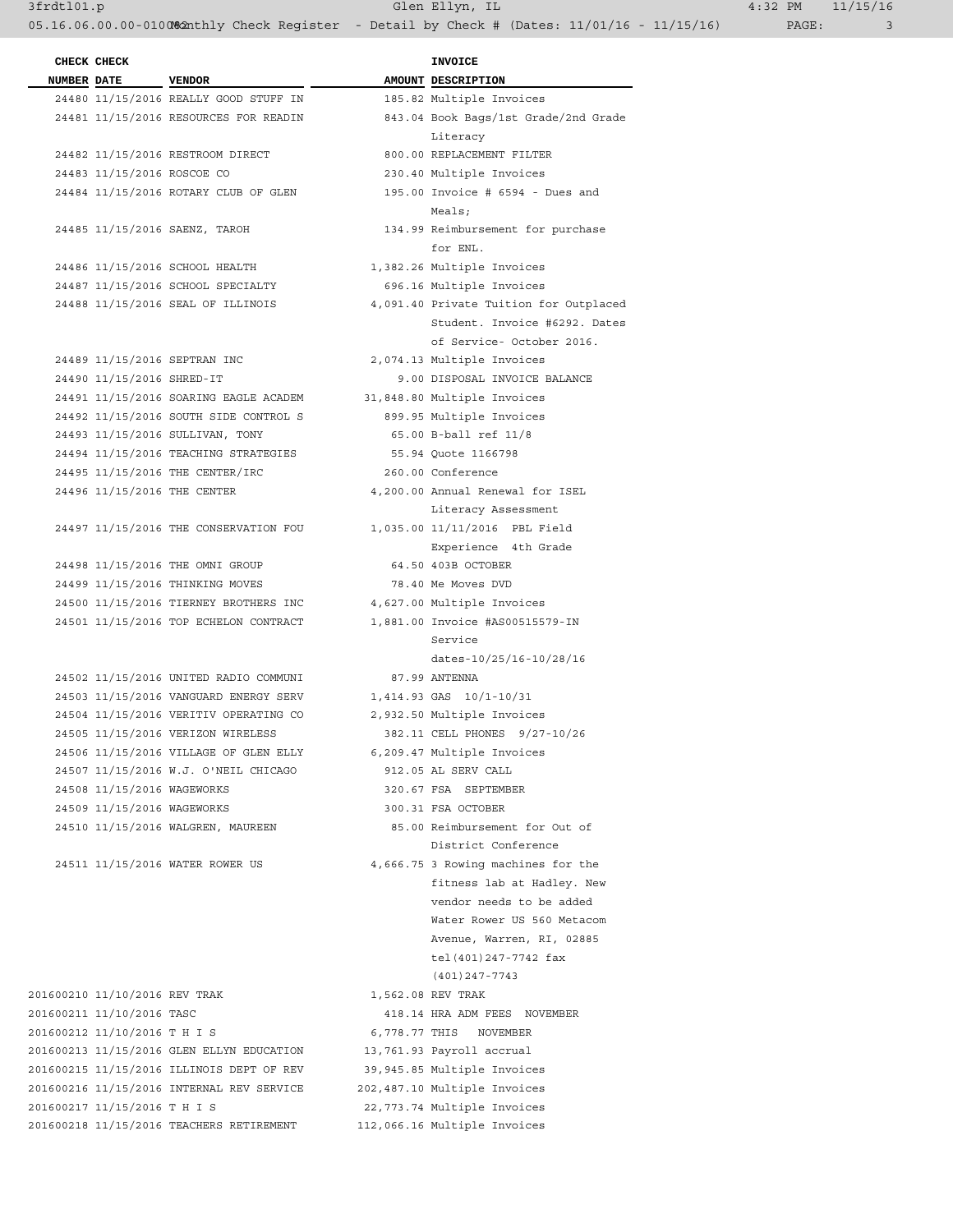24487 11/15/2016 SCHOOL SPECIALTY 696.16 Multiple Invoices

 24490 11/15/2016 SHRED-IT 9.00 DISPOSAL INVOICE BALANCE 24491 11/15/2016 SOARING EAGLE ACADEM 31,848.80 Multiple Invoices 24492 11/15/2016 SOUTH SIDE CONTROL S 899.95 Multiple Invoices 24493 11/15/2016 SULLIVAN, TONY 65.00 B-ball ref 11/8 24494 11/15/2016 TEACHING STRATEGIES 55.94 Quote 1166798 24495 11/15/2016 THE CENTER/IRC 260.00 Conference

 24498 11/15/2016 THE OMNI GROUP 64.50 403B OCTOBER 24499 11/15/2016 THINKING MOVES 78.40 Me Moves DVD 24500 11/15/2016 TIERNEY BROTHERS INC 4,627.00 Multiple Invoices 24501 11/15/2016 TOP ECHELON CONTRACT 1,881.00 Invoice #AS00515579-IN

 24502 11/15/2016 UNITED RADIO COMMUNI 87.99 ANTENNA 24503 11/15/2016 VANGUARD ENERGY SERV 1,414.93 GAS 10/1-10/31 24504 11/15/2016 VERITIV OPERATING CO 2,932.50 Multiple Invoices 24505 11/15/2016 VERIZON WIRELESS 382.11 CELL PHONES 9/27-10/26 24506 11/15/2016 VILLAGE OF GLEN ELLY 6,209.47 Multiple Invoices 24507 11/15/2016 W.J. O'NEIL CHICAGO 912.05 AL SERV CALL 24508 11/15/2016 WAGEWORKS 320.67 FSA SEPTEMBER 24509 11/15/2016 WAGEWORKS 300.31 FSA OCTOBER

201600210 11/10/2016 REV TRAK 1,562.08 REV TRAK 201600211 11/10/2016 TASC 418.14 HRA ADM FEES NOVEMBER 201600212 11/10/2016 T H I S 6,778.77 THIS NOVEMBER 201600213 11/15/2016 GLEN ELLYN EDUCATION 13,761.93 Payroll accrual 201600215 11/15/2016 ILLINOIS DEPT OF REV 39,945.85 Multiple Invoices 201600216 11/15/2016 INTERNAL REV SERVICE 202,487.10 Multiple Invoices 201600217 11/15/2016 T H I S 22,773.74 Multiple Invoices 201600218 11/15/2016 TEACHERS RETIREMENT 112,066.16 Multiple Invoices

 24481 11/15/2016 RESOURCES FOR READIN 843.04 Book Bags/1st Grade/2nd Grade Literacy 24484 11/15/2016 ROTARY CLUB OF GLEN 195.00 Invoice # 6594 - Dues and Meals; 24485 11/15/2016 SAENZ, TAROH 134.99 Reimbursement for purchase for ENL. 24486 11/15/2016 SCHOOL HEALTH 1,382.26 Multiple Invoices 24488 11/15/2016 SEAL OF ILLINOIS 4,091.40 Private Tuition for Outplaced Student. Invoice #6292. Dates of Service- October 2016. 24489 11/15/2016 SEPTRAN INC 2,074.13 Multiple Invoices 24496 11/15/2016 THE CENTER 4,200.00 Annual Renewal for ISEL Literacy Assessment 24497 11/15/2016 THE CONSERVATION FOU 1,035.00 11/11/2016 PBL Field Experience 4th Grade Service and the service of the service of the service of the service of the service of the service dates-10/25/16-10/28/16 24510 11/15/2016 WALGREN, MAUREEN 85.00 Reimbursement for Out of District Conference 24511 11/15/2016 WATER ROWER US 4,666.75 3 Rowing machines for the fitness lab at Hadley. New vendor needs to be added Water Rower US 560 Metacom Avenue, Warren, RI, 02885 tel(401)247-7742 fax (401)247-7743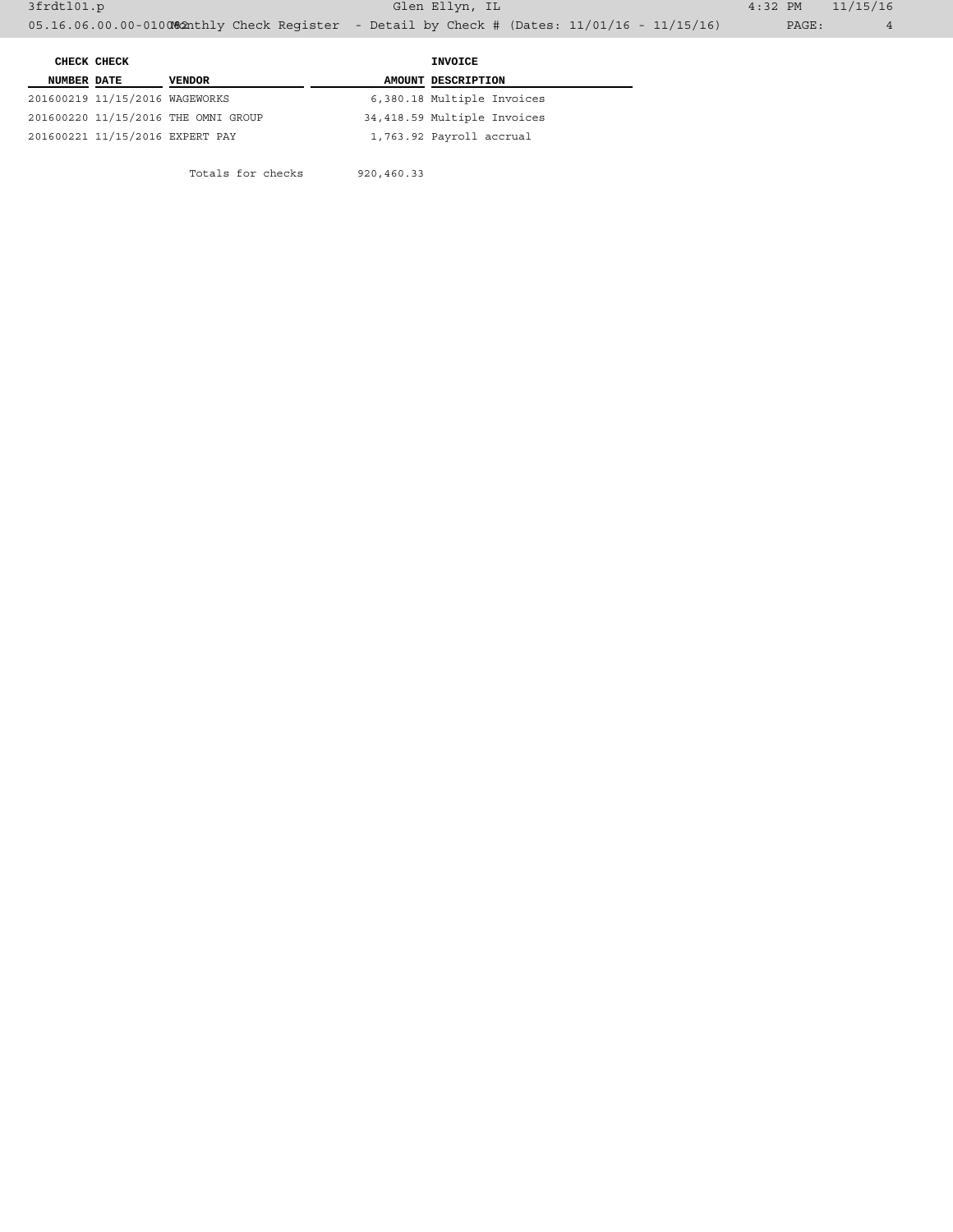Totals for checks 920,460.33